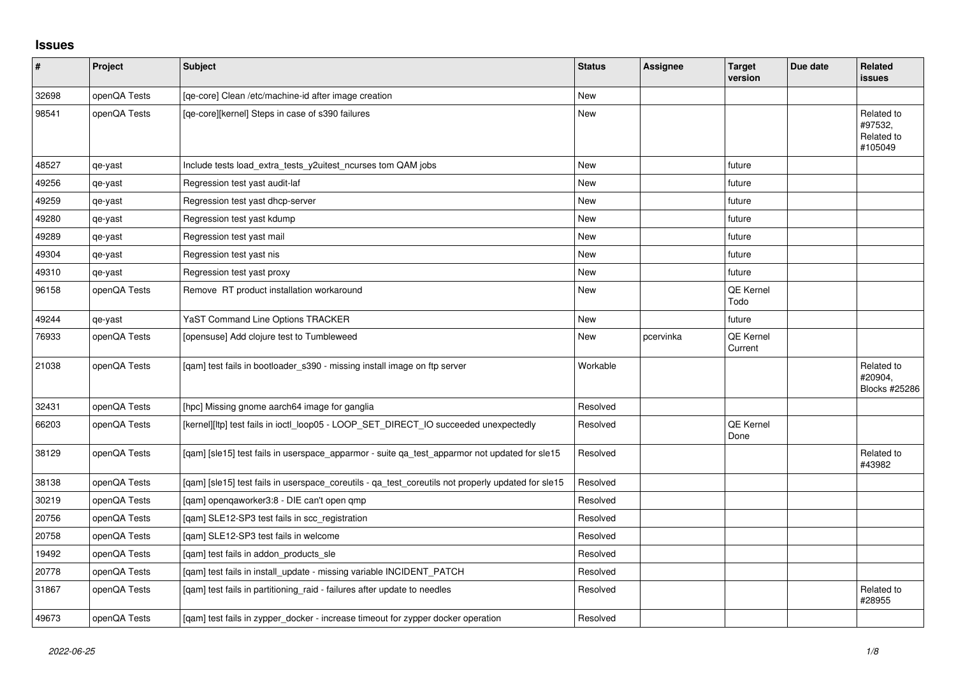## **Issues**

| #     | Project      | <b>Subject</b>                                                                                     | <b>Status</b> | <b>Assignee</b> | <b>Target</b><br>version | Due date | Related<br><b>issues</b>                       |
|-------|--------------|----------------------------------------------------------------------------------------------------|---------------|-----------------|--------------------------|----------|------------------------------------------------|
| 32698 | openQA Tests | [qe-core] Clean /etc/machine-id after image creation                                               | <b>New</b>    |                 |                          |          |                                                |
| 98541 | openQA Tests | [qe-core][kernel] Steps in case of s390 failures                                                   | <b>New</b>    |                 |                          |          | Related to<br>#97532,<br>Related to<br>#105049 |
| 48527 | qe-yast      | Include tests load_extra_tests_y2uitest_ncurses tom QAM jobs                                       | <b>New</b>    |                 | future                   |          |                                                |
| 49256 | qe-yast      | Regression test yast audit-laf                                                                     | <b>New</b>    |                 | future                   |          |                                                |
| 49259 | qe-yast      | Regression test yast dhcp-server                                                                   | <b>New</b>    |                 | future                   |          |                                                |
| 49280 | qe-yast      | Regression test yast kdump                                                                         | New           |                 | future                   |          |                                                |
| 49289 | qe-yast      | Regression test yast mail                                                                          | <b>New</b>    |                 | future                   |          |                                                |
| 49304 | qe-yast      | Regression test yast nis                                                                           | New           |                 | future                   |          |                                                |
| 49310 | qe-yast      | Regression test yast proxy                                                                         | New           |                 | future                   |          |                                                |
| 96158 | openQA Tests | Remove RT product installation workaround                                                          | <b>New</b>    |                 | QE Kernel<br>Todo        |          |                                                |
| 49244 | qe-yast      | YaST Command Line Options TRACKER                                                                  | New           |                 | future                   |          |                                                |
| 76933 | openQA Tests | [opensuse] Add clojure test to Tumbleweed                                                          | <b>New</b>    | pcervinka       | QE Kernel<br>Current     |          |                                                |
| 21038 | openQA Tests | [qam] test fails in bootloader_s390 - missing install image on ftp server                          | Workable      |                 |                          |          | Related to<br>#20904,<br>Blocks #25286         |
| 32431 | openQA Tests | [hpc] Missing gnome aarch64 image for ganglia                                                      | Resolved      |                 |                          |          |                                                |
| 66203 | openQA Tests | [kernel][ltp] test fails in ioctl_loop05 - LOOP_SET_DIRECT_IO succeeded unexpectedly               | Resolved      |                 | QE Kernel<br>Done        |          |                                                |
| 38129 | openQA Tests | [gam] [sle15] test fails in userspace apparmor - suite ga test apparmor not updated for sle15      | Resolved      |                 |                          |          | Related to<br>#43982                           |
| 38138 | openQA Tests | [gam] [sle15] test fails in userspace coreutils - ga test coreutils not properly updated for sle15 | Resolved      |                 |                          |          |                                                |
| 30219 | openQA Tests | [qam] openqaworker3:8 - DIE can't open qmp                                                         | Resolved      |                 |                          |          |                                                |
| 20756 | openQA Tests | [qam] SLE12-SP3 test fails in scc_registration                                                     | Resolved      |                 |                          |          |                                                |
| 20758 | openQA Tests | [gam] SLE12-SP3 test fails in welcome                                                              | Resolved      |                 |                          |          |                                                |
| 19492 | openQA Tests | [qam] test fails in addon_products_sle                                                             | Resolved      |                 |                          |          |                                                |
| 20778 | openQA Tests | [qam] test fails in install_update - missing variable INCIDENT_PATCH                               | Resolved      |                 |                          |          |                                                |
| 31867 | openQA Tests | [qam] test fails in partitioning_raid - failures after update to needles                           | Resolved      |                 |                          |          | Related to<br>#28955                           |
| 49673 | openQA Tests | [gam] test fails in zypper docker - increase timeout for zypper docker operation                   | Resolved      |                 |                          |          |                                                |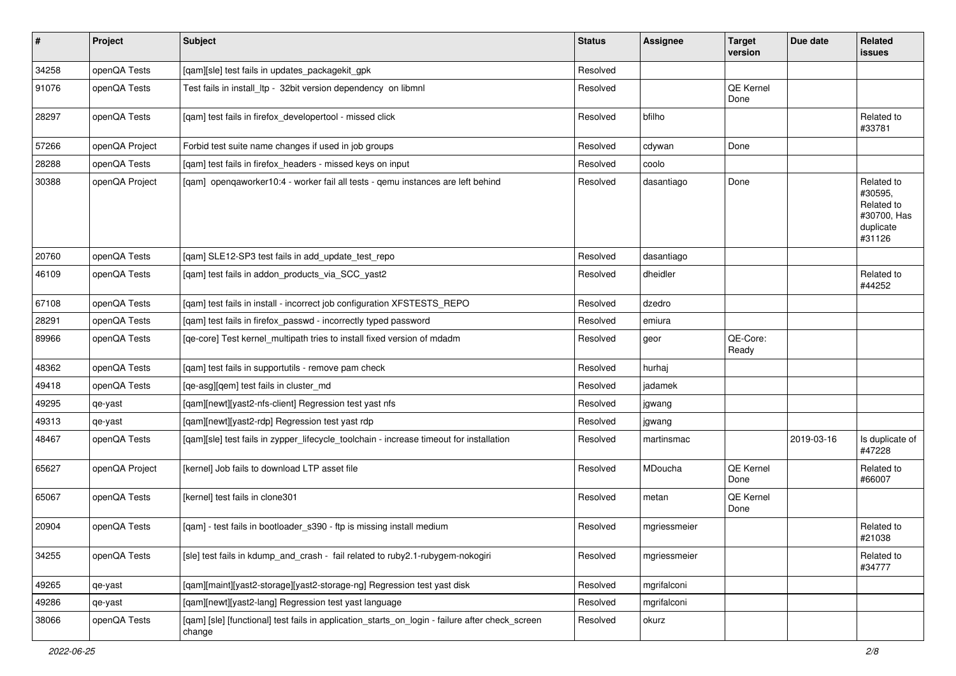| $\sharp$ | Project        | Subject                                                                                                   | <b>Status</b> | <b>Assignee</b> | <b>Target</b><br>version | Due date   | Related<br>issues                                                         |
|----------|----------------|-----------------------------------------------------------------------------------------------------------|---------------|-----------------|--------------------------|------------|---------------------------------------------------------------------------|
| 34258    | openQA Tests   | [qam][sle] test fails in updates_packagekit_gpk                                                           | Resolved      |                 |                          |            |                                                                           |
| 91076    | openQA Tests   | Test fails in install_ltp - 32bit version dependency on libmnl                                            | Resolved      |                 | <b>QE Kernel</b><br>Done |            |                                                                           |
| 28297    | openQA Tests   | [qam] test fails in firefox_developertool - missed click                                                  | Resolved      | bfilho          |                          |            | Related to<br>#33781                                                      |
| 57266    | openQA Project | Forbid test suite name changes if used in job groups                                                      | Resolved      | cdywan          | Done                     |            |                                                                           |
| 28288    | openQA Tests   | [gam] test fails in firefox headers - missed keys on input                                                | Resolved      | coolo           |                          |            |                                                                           |
| 30388    | openQA Project | [qam] openqaworker10:4 - worker fail all tests - qemu instances are left behind                           | Resolved      | dasantiago      | Done                     |            | Related to<br>#30595,<br>Related to<br>#30700, Has<br>duplicate<br>#31126 |
| 20760    | openQA Tests   | [qam] SLE12-SP3 test fails in add_update_test_repo                                                        | Resolved      | dasantiago      |                          |            |                                                                           |
| 46109    | openQA Tests   | [qam] test fails in addon_products_via_SCC_yast2                                                          | Resolved      | dheidler        |                          |            | Related to<br>#44252                                                      |
| 67108    | openQA Tests   | [qam] test fails in install - incorrect job configuration XFSTESTS_REPO                                   | Resolved      | dzedro          |                          |            |                                                                           |
| 28291    | openQA Tests   | [qam] test fails in firefox_passwd - incorrectly typed password                                           | Resolved      | emiura          |                          |            |                                                                           |
| 89966    | openQA Tests   | [qe-core] Test kernel_multipath tries to install fixed version of mdadm                                   | Resolved      | geor            | QE-Core:<br>Ready        |            |                                                                           |
| 48362    | openQA Tests   | [qam] test fails in supportutils - remove pam check                                                       | Resolved      | hurhaj          |                          |            |                                                                           |
| 49418    | openQA Tests   | [qe-asg][qem] test fails in cluster_md                                                                    | Resolved      | jadamek         |                          |            |                                                                           |
| 49295    | qe-yast        | [qam][newt][yast2-nfs-client] Regression test yast nfs                                                    | Resolved      | jgwang          |                          |            |                                                                           |
| 49313    | qe-yast        | [qam][newt][yast2-rdp] Regression test yast rdp                                                           | Resolved      | jgwang          |                          |            |                                                                           |
| 48467    | openQA Tests   | [qam][sle] test fails in zypper_lifecycle_toolchain - increase timeout for installation                   | Resolved      | martinsmac      |                          | 2019-03-16 | Is duplicate of<br>#47228                                                 |
| 65627    | openQA Project | [kernel] Job fails to download LTP asset file                                                             | Resolved      | MDoucha         | QE Kernel<br>Done        |            | Related to<br>#66007                                                      |
| 65067    | openQA Tests   | [kernel] test fails in clone301                                                                           | Resolved      | metan           | QE Kernel<br>Done        |            |                                                                           |
| 20904    | openQA Tests   | [qam] - test fails in bootloader_s390 - ftp is missing install medium                                     | Resolved      | mgriessmeier    |                          |            | Related to<br>#21038                                                      |
| 34255    | openQA Tests   | [sle] test fails in kdump_and_crash - fail related to ruby2.1-rubygem-nokogiri                            | Resolved      | mgriessmeier    |                          |            | Related to<br>#34777                                                      |
| 49265    | qe-yast        | [qam][maint][yast2-storage][yast2-storage-ng] Regression test yast disk                                   | Resolved      | mgrifalconi     |                          |            |                                                                           |
| 49286    | qe-yast        | [qam][newt][yast2-lang] Regression test yast language                                                     | Resolved      | mgrifalconi     |                          |            |                                                                           |
| 38066    | openQA Tests   | [qam] [sle] [functional] test fails in application_starts_on_login - failure after check_screen<br>change | Resolved      | okurz           |                          |            |                                                                           |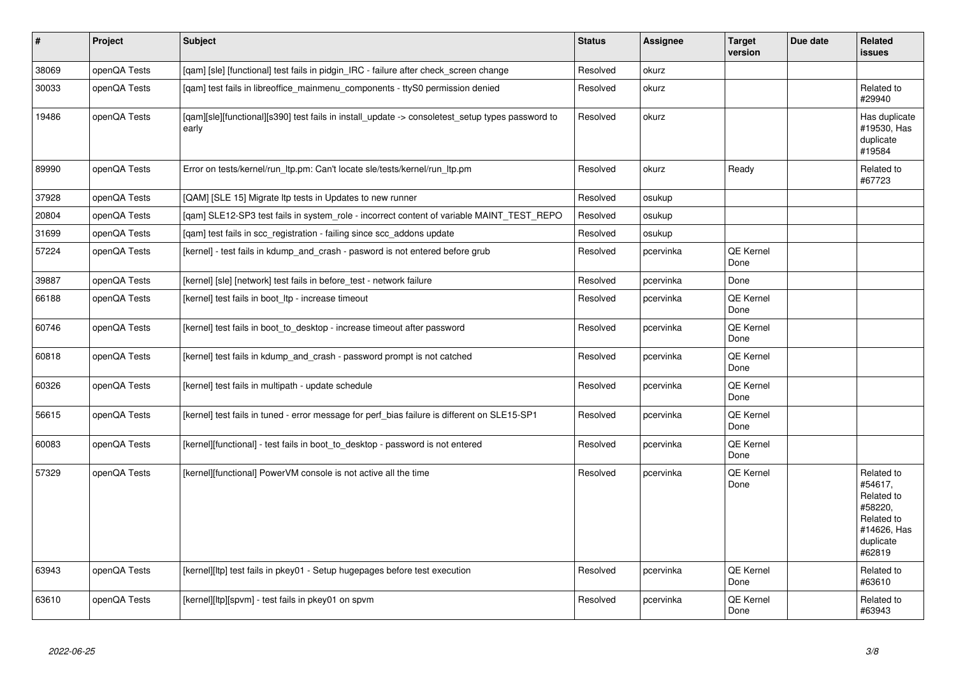| $\sharp$ | Project      | <b>Subject</b>                                                                                            | <b>Status</b> | <b>Assignee</b> | <b>Target</b><br>version | Due date | Related<br><b>issues</b>                                                                           |
|----------|--------------|-----------------------------------------------------------------------------------------------------------|---------------|-----------------|--------------------------|----------|----------------------------------------------------------------------------------------------------|
| 38069    | openQA Tests | [gam] [sle] [functional] test fails in pidgin_IRC - failure after check_screen change                     | Resolved      | okurz           |                          |          |                                                                                                    |
| 30033    | openQA Tests | [gam] test fails in libreoffice mainmenu components - ttyS0 permission denied                             | Resolved      | okurz           |                          |          | Related to<br>#29940                                                                               |
| 19486    | openQA Tests | [qam][sle][functional][s390] test fails in install_update -> consoletest_setup types password to<br>early | Resolved      | okurz           |                          |          | Has duplicate<br>#19530, Has<br>duplicate<br>#19584                                                |
| 89990    | openQA Tests | Error on tests/kernel/run_ltp.pm: Can't locate sle/tests/kernel/run_ltp.pm                                | Resolved      | okurz           | Ready                    |          | Related to<br>#67723                                                                               |
| 37928    | openQA Tests | [QAM] [SLE 15] Migrate Itp tests in Updates to new runner                                                 | Resolved      | osukup          |                          |          |                                                                                                    |
| 20804    | openQA Tests | [gam] SLE12-SP3 test fails in system_role - incorrect content of variable MAINT_TEST_REPO                 | Resolved      | osukup          |                          |          |                                                                                                    |
| 31699    | openQA Tests | [qam] test fails in scc_registration - failing since scc_addons update                                    | Resolved      | osukup          |                          |          |                                                                                                    |
| 57224    | openQA Tests | [kernel] - test fails in kdump_and_crash - pasword is not entered before grub                             | Resolved      | pcervinka       | QE Kernel<br>Done        |          |                                                                                                    |
| 39887    | openQA Tests | [kernel] [sle] [network] test fails in before_test - network failure                                      | Resolved      | pcervinka       | Done                     |          |                                                                                                    |
| 66188    | openQA Tests | [kernel] test fails in boot_ltp - increase timeout                                                        | Resolved      | pcervinka       | <b>QE Kernel</b><br>Done |          |                                                                                                    |
| 60746    | openQA Tests | [kernel] test fails in boot_to_desktop - increase timeout after password                                  | Resolved      | pcervinka       | QE Kernel<br>Done        |          |                                                                                                    |
| 60818    | openQA Tests | [kernel] test fails in kdump_and_crash - password prompt is not catched                                   | Resolved      | pcervinka       | QE Kernel<br>Done        |          |                                                                                                    |
| 60326    | openQA Tests | [kernel] test fails in multipath - update schedule                                                        | Resolved      | pcervinka       | QE Kernel<br>Done        |          |                                                                                                    |
| 56615    | openQA Tests | [kernel] test fails in tuned - error message for perf_bias failure is different on SLE15-SP1              | Resolved      | pcervinka       | QE Kernel<br>Done        |          |                                                                                                    |
| 60083    | openQA Tests | [kernel][functional] - test fails in boot_to_desktop - password is not entered                            | Resolved      | pcervinka       | <b>QE Kernel</b><br>Done |          |                                                                                                    |
| 57329    | openQA Tests | [kernel][functional] PowerVM console is not active all the time                                           | Resolved      | pcervinka       | QE Kernel<br>Done        |          | Related to<br>#54617.<br>Related to<br>#58220.<br>Related to<br>#14626, Has<br>duplicate<br>#62819 |
| 63943    | openQA Tests | [kernel][ltp] test fails in pkey01 - Setup hugepages before test execution                                | Resolved      | pcervinka       | QE Kernel<br>Done        |          | Related to<br>#63610                                                                               |
| 63610    | openQA Tests | [kernel][ltp][spvm] - test fails in pkey01 on spvm                                                        | Resolved      | pcervinka       | QE Kernel<br>Done        |          | Related to<br>#63943                                                                               |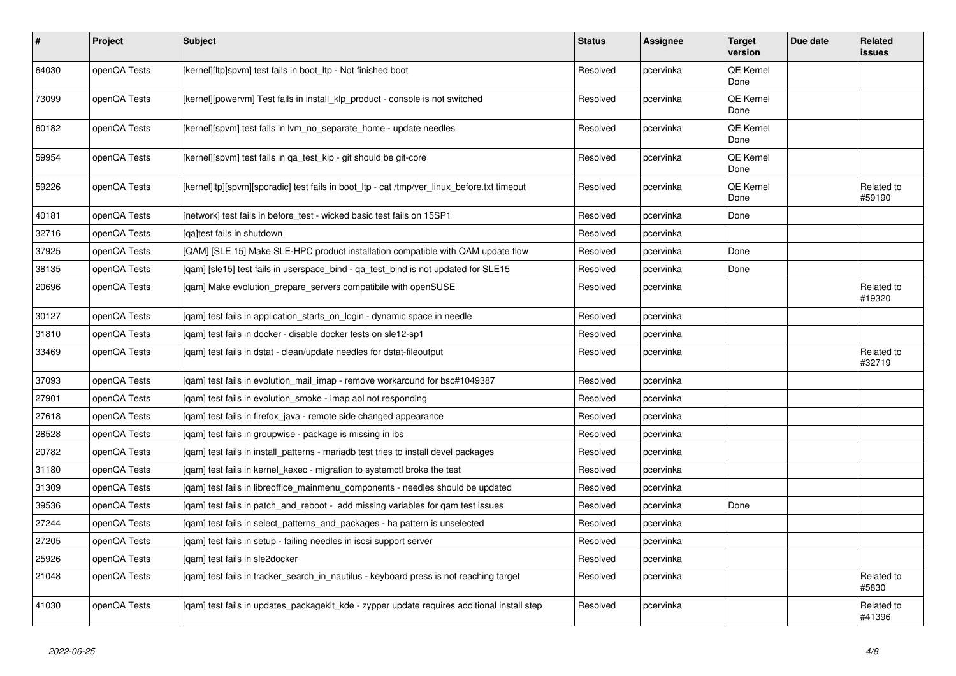| $\sharp$ | Project      | <b>Subject</b>                                                                              | <b>Status</b> | Assignee  | <b>Target</b><br>version | Due date | Related<br><b>issues</b> |
|----------|--------------|---------------------------------------------------------------------------------------------|---------------|-----------|--------------------------|----------|--------------------------|
| 64030    | openQA Tests | [kernel][ltp]spvm] test fails in boot_ltp - Not finished boot                               | Resolved      | pcervinka | QE Kernel<br>Done        |          |                          |
| 73099    | openQA Tests | [kernel][powervm] Test fails in install klp product - console is not switched               | Resolved      | pcervinka | QE Kernel<br>Done        |          |                          |
| 60182    | openQA Tests | [kernel][spvm] test fails in lvm_no_separate_home - update needles                          | Resolved      | pcervinka | QE Kernel<br>Done        |          |                          |
| 59954    | openQA Tests | [kernel][spvm] test fails in ga test klp - git should be git-core                           | Resolved      | pcervinka | QE Kernel<br>Done        |          |                          |
| 59226    | openQA Tests | [kernel]ltp][spvm][sporadic] test fails in boot_ltp - cat /tmp/ver_linux_before.txt timeout | Resolved      | pcervinka | <b>QE Kernel</b><br>Done |          | Related to<br>#59190     |
| 40181    | openQA Tests | [network] test fails in before test - wicked basic test fails on 15SP1                      | Resolved      | pcervinka | Done                     |          |                          |
| 32716    | openQA Tests | [ga]test fails in shutdown                                                                  | Resolved      | pcervinka |                          |          |                          |
| 37925    | openQA Tests | [QAM] [SLE 15] Make SLE-HPC product installation compatible with QAM update flow            | Resolved      | pcervinka | Done                     |          |                          |
| 38135    | openQA Tests | [qam] [sle15] test fails in userspace_bind - qa_test_bind is not updated for SLE15          | Resolved      | pcervinka | Done                     |          |                          |
| 20696    | openQA Tests | [qam] Make evolution_prepare_servers compatibile with openSUSE                              | Resolved      | pcervinka |                          |          | Related to<br>#19320     |
| 30127    | openQA Tests | [gam] test fails in application starts on login - dynamic space in needle                   | Resolved      | pcervinka |                          |          |                          |
| 31810    | openQA Tests | [qam] test fails in docker - disable docker tests on sle12-sp1                              | Resolved      | pcervinka |                          |          |                          |
| 33469    | openQA Tests | [qam] test fails in dstat - clean/update needles for dstat-fileoutput                       | Resolved      | pcervinka |                          |          | Related to<br>#32719     |
| 37093    | openQA Tests | [gam] test fails in evolution mail imap - remove workaround for bsc#1049387                 | Resolved      | pcervinka |                          |          |                          |
| 27901    | openQA Tests | [gam] test fails in evolution smoke - imap aol not responding                               | Resolved      | pcervinka |                          |          |                          |
| 27618    | openQA Tests | [qam] test fails in firefox_java - remote side changed appearance                           | Resolved      | pcervinka |                          |          |                          |
| 28528    | openQA Tests | [qam] test fails in groupwise - package is missing in ibs                                   | Resolved      | pcervinka |                          |          |                          |
| 20782    | openQA Tests | [gam] test fails in install_patterns - mariadb test tries to install devel packages         | Resolved      | pcervinka |                          |          |                          |
| 31180    | openQA Tests | [qam] test fails in kernel_kexec - migration to systemctl broke the test                    | Resolved      | pcervinka |                          |          |                          |
| 31309    | openQA Tests | [gam] test fails in libreoffice mainmenu components - needles should be updated             | Resolved      | pcervinka |                          |          |                          |
| 39536    | openQA Tests | [qam] test fails in patch_and_reboot - add missing variables for qam test issues            | Resolved      | pcervinka | Done                     |          |                          |
| 27244    | openQA Tests | [qam] test fails in select_patterns_and_packages - ha pattern is unselected                 | Resolved      | pcervinka |                          |          |                          |
| 27205    | openQA Tests | [qam] test fails in setup - failing needles in iscsi support server                         | Resolved      | pcervinka |                          |          |                          |
| 25926    | openQA Tests | [gam] test fails in sle2docker                                                              | Resolved      | pcervinka |                          |          |                          |
| 21048    | openQA Tests | [gam] test fails in tracker search in nautilus - keyboard press is not reaching target      | Resolved      | pcervinka |                          |          | Related to<br>#5830      |
| 41030    | openQA Tests | [qam] test fails in updates_packagekit_kde - zypper update requires additional install step | Resolved      | pcervinka |                          |          | Related to<br>#41396     |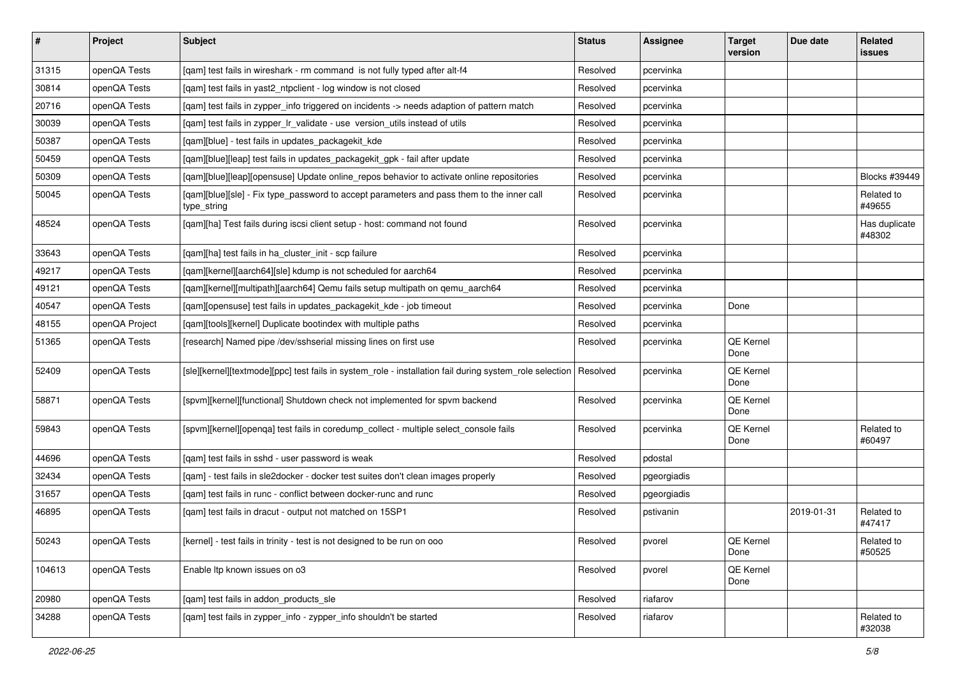| $\vert$ # | Project        | <b>Subject</b>                                                                                                   | <b>Status</b> | Assignee    | <b>Target</b><br>version | Due date   | Related<br>issues       |
|-----------|----------------|------------------------------------------------------------------------------------------------------------------|---------------|-------------|--------------------------|------------|-------------------------|
| 31315     | openQA Tests   | [qam] test fails in wireshark - rm command is not fully typed after alt-f4                                       | Resolved      | pcervinka   |                          |            |                         |
| 30814     | openQA Tests   | [gam] test fails in yast2 ntpclient - log window is not closed                                                   | Resolved      | pcervinka   |                          |            |                         |
| 20716     | openQA Tests   | [qam] test fails in zypper_info triggered on incidents -> needs adaption of pattern match                        | Resolved      | pcervinka   |                          |            |                         |
| 30039     | openQA Tests   | [qam] test fails in zypper_lr_validate - use version_utils instead of utils                                      | Resolved      | pcervinka   |                          |            |                         |
| 50387     | openQA Tests   | [qam][blue] - test fails in updates_packagekit_kde                                                               | Resolved      | pcervinka   |                          |            |                         |
| 50459     | openQA Tests   | [qam][blue][leap] test fails in updates_packagekit_gpk - fail after update                                       | Resolved      | pcervinka   |                          |            |                         |
| 50309     | openQA Tests   | [gam][blue][leap][opensuse] Update online_repos behavior to activate online repositories                         | Resolved      | pcervinka   |                          |            | Blocks #39449           |
| 50045     | openQA Tests   | [qam][blue][sle] - Fix type_password to accept parameters and pass them to the inner call<br>type_string         | Resolved      | pcervinka   |                          |            | Related to<br>#49655    |
| 48524     | openQA Tests   | [qam][ha] Test fails during iscsi client setup - host: command not found                                         | Resolved      | pcervinka   |                          |            | Has duplicate<br>#48302 |
| 33643     | openQA Tests   | [qam][ha] test fails in ha_cluster_init - scp failure                                                            | Resolved      | pcervinka   |                          |            |                         |
| 49217     | openQA Tests   | [qam][kernel][aarch64][sle] kdump is not scheduled for aarch64                                                   | Resolved      | pcervinka   |                          |            |                         |
| 49121     | openQA Tests   | [qam][kernel][multipath][aarch64] Qemu fails setup multipath on qemu_aarch64                                     | Resolved      | pcervinka   |                          |            |                         |
| 40547     | openQA Tests   | [qam][opensuse] test fails in updates_packagekit_kde - job timeout                                               | Resolved      | pcervinka   | Done                     |            |                         |
| 48155     | openQA Project | [qam][tools][kernel] Duplicate bootindex with multiple paths                                                     | Resolved      | pcervinka   |                          |            |                         |
| 51365     | openQA Tests   | [research] Named pipe /dev/sshserial missing lines on first use                                                  | Resolved      | pcervinka   | QE Kernel<br>Done        |            |                         |
| 52409     | openQA Tests   | [sle][kernel][textmode][ppc] test fails in system_role - installation fail during system_role selection Resolved |               | pcervinka   | QE Kernel<br>Done        |            |                         |
| 58871     | openQA Tests   | [spvm][kernel][functional] Shutdown check not implemented for spvm backend                                       | Resolved      | pcervinka   | <b>QE Kernel</b><br>Done |            |                         |
| 59843     | openQA Tests   | [spvm][kernel][openqa] test fails in coredump_collect - multiple select_console fails                            | Resolved      | pcervinka   | QE Kernel<br>Done        |            | Related to<br>#60497    |
| 44696     | openQA Tests   | [qam] test fails in sshd - user password is weak                                                                 | Resolved      | pdostal     |                          |            |                         |
| 32434     | openQA Tests   | [gam] - test fails in sle2docker - docker test suites don't clean images properly                                | Resolved      | pgeorgiadis |                          |            |                         |
| 31657     | openQA Tests   | [qam] test fails in runc - conflict between docker-runc and runc                                                 | Resolved      | pgeorgiadis |                          |            |                         |
| 46895     | openQA Tests   | [qam] test fails in dracut - output not matched on 15SP1                                                         | Resolved      | pstivanin   |                          | 2019-01-31 | Related to<br>#47417    |
| 50243     | openQA Tests   | [kernel] - test fails in trinity - test is not designed to be run on ooo                                         | Resolved      | pvorel      | QE Kernel<br>Done        |            | Related to<br>#50525    |
| 104613    | openQA Tests   | Enable Itp known issues on o3                                                                                    | Resolved      | pvorel      | QE Kernel<br>Done        |            |                         |
| 20980     | openQA Tests   | [gam] test fails in addon products sle                                                                           | Resolved      | riafarov    |                          |            |                         |
| 34288     | openQA Tests   | [gam] test fails in zypper info - zypper info shouldn't be started                                               | Resolved      | riafarov    |                          |            | Related to<br>#32038    |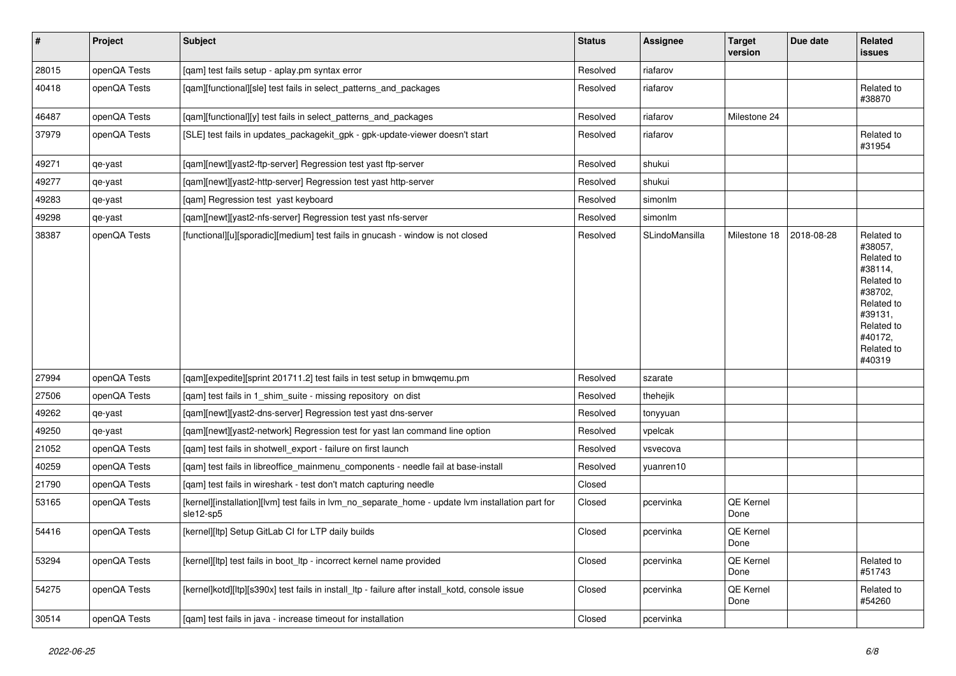| $\vert$ # | Project      | <b>Subject</b>                                                                                                 | <b>Status</b> | <b>Assignee</b> | <b>Target</b><br>version | Due date   | Related<br>issues                                                                                                                                 |
|-----------|--------------|----------------------------------------------------------------------------------------------------------------|---------------|-----------------|--------------------------|------------|---------------------------------------------------------------------------------------------------------------------------------------------------|
| 28015     | openQA Tests | [qam] test fails setup - aplay.pm syntax error                                                                 | Resolved      | riafarov        |                          |            |                                                                                                                                                   |
| 40418     | openQA Tests | [qam][functional][sle] test fails in select_patterns_and_packages                                              | Resolved      | riafarov        |                          |            | Related to<br>#38870                                                                                                                              |
| 46487     | openQA Tests | [qam][functional][y] test fails in select_patterns_and_packages                                                | Resolved      | riafarov        | Milestone 24             |            |                                                                                                                                                   |
| 37979     | openQA Tests | [SLE] test fails in updates_packagekit_gpk - gpk-update-viewer doesn't start                                   | Resolved      | riafarov        |                          |            | Related to<br>#31954                                                                                                                              |
| 49271     | qe-yast      | [qam][newt][yast2-ftp-server] Regression test yast ftp-server                                                  | Resolved      | shukui          |                          |            |                                                                                                                                                   |
| 49277     | qe-yast      | [qam][newt][yast2-http-server] Regression test yast http-server                                                | Resolved      | shukui          |                          |            |                                                                                                                                                   |
| 49283     | qe-yast      | [qam] Regression test yast keyboard                                                                            | Resolved      | simonlm         |                          |            |                                                                                                                                                   |
| 49298     | qe-yast      | [qam][newt][yast2-nfs-server] Regression test yast nfs-server                                                  | Resolved      | simonlm         |                          |            |                                                                                                                                                   |
| 38387     | openQA Tests | [functional][u][sporadic][medium] test fails in gnucash - window is not closed                                 | Resolved      | SLindoMansilla  | Milestone 18             | 2018-08-28 | Related to<br>#38057,<br>Related to<br>#38114,<br>Related to<br>#38702,<br>Related to<br>#39131,<br>Related to<br>#40172,<br>Related to<br>#40319 |
| 27994     | openQA Tests | [qam][expedite][sprint 201711.2] test fails in test setup in bmwqemu.pm                                        | Resolved      | szarate         |                          |            |                                                                                                                                                   |
| 27506     | openQA Tests | [qam] test fails in 1_shim_suite - missing repository on dist                                                  | Resolved      | thehejik        |                          |            |                                                                                                                                                   |
| 49262     | qe-yast      | [qam][newt][yast2-dns-server] Regression test yast dns-server                                                  | Resolved      | tonyyuan        |                          |            |                                                                                                                                                   |
| 49250     | qe-yast      | [qam][newt][yast2-network] Regression test for yast lan command line option                                    | Resolved      | vpelcak         |                          |            |                                                                                                                                                   |
| 21052     | openQA Tests | [qam] test fails in shotwell_export - failure on first launch                                                  | Resolved      | vsvecova        |                          |            |                                                                                                                                                   |
| 40259     | openQA Tests | [qam] test fails in libreoffice_mainmenu_components - needle fail at base-install                              | Resolved      | yuanren10       |                          |            |                                                                                                                                                   |
| 21790     | openQA Tests | [gam] test fails in wireshark - test don't match capturing needle                                              | Closed        |                 |                          |            |                                                                                                                                                   |
| 53165     | openQA Tests | [kernel][installation][lvm] test fails in lvm_no_separate_home - update lvm installation part for<br>sle12-sp5 | Closed        | pcervinka       | QE Kernel<br>Done        |            |                                                                                                                                                   |
| 54416     | openQA Tests | [kernel][ltp] Setup GitLab CI for LTP daily builds                                                             | Closed        | pcervinka       | QE Kernel<br>Done        |            |                                                                                                                                                   |
| 53294     | openQA Tests | [kernel][ltp] test fails in boot_ltp - incorrect kernel name provided                                          | Closed        | pcervinka       | QE Kernel<br>Done        |            | Related to<br>#51743                                                                                                                              |
| 54275     | openQA Tests | [kernel]kotd][ltp][s390x] test fails in install_ltp - failure after install_kotd, console issue                | Closed        | pcervinka       | QE Kernel<br>Done        |            | Related to<br>#54260                                                                                                                              |
| 30514     | openQA Tests | [qam] test fails in java - increase timeout for installation                                                   | Closed        | pcervinka       |                          |            |                                                                                                                                                   |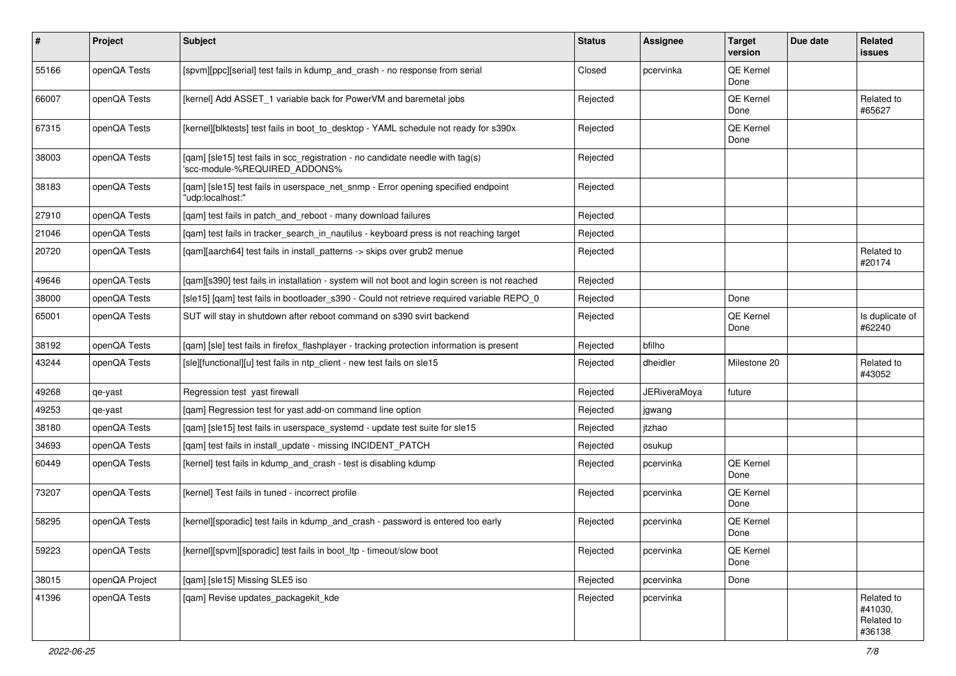| $\sharp$ | Project        | <b>Subject</b>                                                                                                  | <b>Status</b> | Assignee            | <b>Target</b><br>version | Due date | Related<br>issues                             |
|----------|----------------|-----------------------------------------------------------------------------------------------------------------|---------------|---------------------|--------------------------|----------|-----------------------------------------------|
| 55166    | openQA Tests   | [spvm][ppc][serial] test fails in kdump_and_crash - no response from serial                                     | Closed        | pcervinka           | QE Kernel<br>Done        |          |                                               |
| 66007    | openQA Tests   | [kernel] Add ASSET_1 variable back for PowerVM and baremetal jobs                                               | Rejected      |                     | QE Kernel<br>Done        |          | Related to<br>#65627                          |
| 67315    | openQA Tests   | [kernel][blktests] test fails in boot_to_desktop - YAML schedule not ready for s390x                            | Rejected      |                     | QE Kernel<br>Done        |          |                                               |
| 38003    | openQA Tests   | [qam] [sle15] test fails in scc_registration - no candidate needle with tag(s)<br>'scc-module-%REQUIRED_ADDONS% | Rejected      |                     |                          |          |                                               |
| 38183    | openQA Tests   | [qam] [sle15] test fails in userspace_net_snmp - Error opening specified endpoint<br>"udp:localhost:"           | Rejected      |                     |                          |          |                                               |
| 27910    | openQA Tests   | [qam] test fails in patch_and_reboot - many download failures                                                   | Rejected      |                     |                          |          |                                               |
| 21046    | openQA Tests   | [qam] test fails in tracker_search_in_nautilus - keyboard press is not reaching target                          | Rejected      |                     |                          |          |                                               |
| 20720    | openQA Tests   | [qam][aarch64] test fails in install_patterns -> skips over grub2 menue                                         | Rejected      |                     |                          |          | Related to<br>#20174                          |
| 49646    | openQA Tests   | [qam][s390] test fails in installation - system will not boot and login screen is not reached                   | Rejected      |                     |                          |          |                                               |
| 38000    | openQA Tests   | [sle15] [qam] test fails in bootloader_s390 - Could not retrieve required variable REPO_0                       | Rejected      |                     | Done                     |          |                                               |
| 65001    | openQA Tests   | SUT will stay in shutdown after reboot command on s390 svirt backend                                            | Rejected      |                     | QE Kernel<br>Done        |          | Is duplicate of<br>#62240                     |
| 38192    | openQA Tests   | [qam] [sle] test fails in firefox_flashplayer - tracking protection information is present                      | Rejected      | bfilho              |                          |          |                                               |
| 43244    | openQA Tests   | [sle][functional][u] test fails in ntp_client - new test fails on sle15                                         | Rejected      | dheidler            | Milestone 20             |          | Related to<br>#43052                          |
| 49268    | qe-yast        | Regression test yast firewall                                                                                   | Rejected      | <b>JERiveraMoya</b> | future                   |          |                                               |
| 49253    | qe-yast        | [qam] Regression test for yast add-on command line option                                                       | Rejected      | jgwang              |                          |          |                                               |
| 38180    | openQA Tests   | [qam] [sle15] test fails in userspace_systemd - update test suite for sle15                                     | Rejected      | itzhao              |                          |          |                                               |
| 34693    | openQA Tests   | [qam] test fails in install_update - missing INCIDENT_PATCH                                                     | Rejected      | osukup              |                          |          |                                               |
| 60449    | openQA Tests   | [kernel] test fails in kdump_and_crash - test is disabling kdump                                                | Rejected      | pcervinka           | QE Kernel<br>Done        |          |                                               |
| 73207    | openQA Tests   | [kernel] Test fails in tuned - incorrect profile                                                                | Rejected      | pcervinka           | QE Kernel<br>Done        |          |                                               |
| 58295    | openQA Tests   | [kernel][sporadic] test fails in kdump_and_crash - password is entered too early                                | Rejected      | pcervinka           | QE Kernel<br>Done        |          |                                               |
| 59223    | openQA Tests   | [kernel][spvm][sporadic] test fails in boot_ltp - timeout/slow boot                                             | Rejected      | pcervinka           | QE Kernel<br>Done        |          |                                               |
| 38015    | openQA Project | [qam] [sle15] Missing SLE5 iso                                                                                  | Rejected      | pcervinka           | Done                     |          |                                               |
| 41396    | openQA Tests   | [qam] Revise updates_packagekit_kde                                                                             | Rejected      | pcervinka           |                          |          | Related to<br>#41030,<br>Related to<br>#36138 |